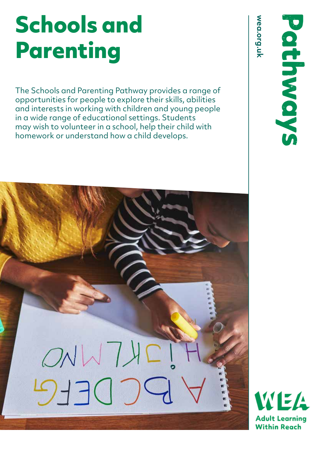## **Schools and Parenting**

The Schools and Parenting Pathway provides a range of opportunities for people to explore their skills, abilities and interests in working with children and young people in a wide range of educational settings. Students may wish to volunteer in a school, help their child with homework or understand how a child develops.

WEA **Adult Learning Within Reach**